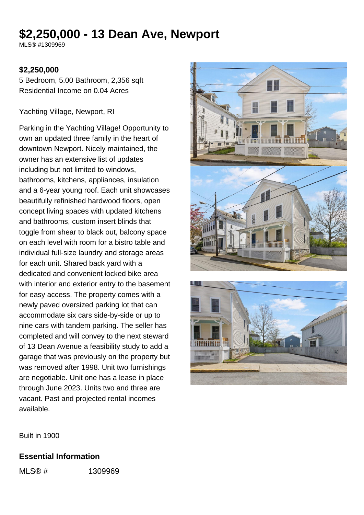# **\$2,250,000 - 13 Dean Ave, Newport**

MLS® #1309969

#### **\$2,250,000**

5 Bedroom, 5.00 Bathroom, 2,356 sqft Residential Income on 0.04 Acres

Yachting Village, Newport, RI

Parking in the Yachting Village! Opportunity to own an updated three family in the heart of downtown Newport. Nicely maintained, the owner has an extensive list of updates including but not limited to windows, bathrooms, kitchens, appliances, insulation and a 6-year young roof. Each unit showcases beautifully refinished hardwood floors, open concept living spaces with updated kitchens and bathrooms, custom insert blinds that toggle from shear to black out, balcony space on each level with room for a bistro table and individual full-size laundry and storage areas for each unit. Shared back yard with a dedicated and convenient locked bike area with interior and exterior entry to the basement for easy access. The property comes with a newly paved oversized parking lot that can accommodate six cars side-by-side or up to nine cars with tandem parking. The seller has completed and will convey to the next steward of 13 Dean Avenue a feasibility study to add a garage that was previously on the property but was removed after 1998. Unit two furnishings are negotiable. Unit one has a lease in place through June 2023. Units two and three are vacant. Past and projected rental incomes available.





Built in 1900

#### **Essential Information**

MLS® # 1309969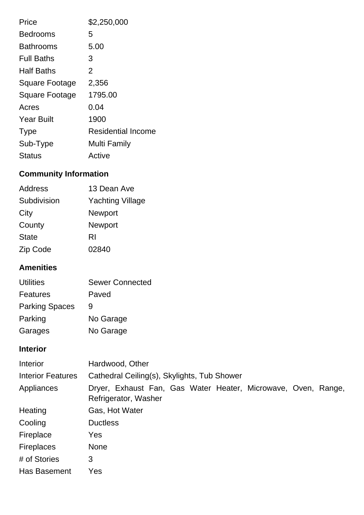| Price                 | \$2,250,000               |
|-----------------------|---------------------------|
| <b>Bedrooms</b>       | 5                         |
| <b>Bathrooms</b>      | 5.00                      |
| <b>Full Baths</b>     | З                         |
| <b>Half Baths</b>     | 2                         |
| Square Footage        | 2,356                     |
| <b>Square Footage</b> | 1795.00                   |
| Acres                 | 0.04                      |
| <b>Year Built</b>     | 1900                      |
| <b>Type</b>           | <b>Residential Income</b> |
| Sub-Type              | Multi Family              |
| Status                | Active                    |

## **Community Information**

| Address      | 13 Dean Ave             |
|--------------|-------------------------|
| Subdivision  | <b>Yachting Village</b> |
| City         | <b>Newport</b>          |
| County       | <b>Newport</b>          |
| <b>State</b> | RI                      |
| Zip Code     | 02840                   |

## **Amenities**

| <b>Utilities</b>      | <b>Sewer Connected</b> |
|-----------------------|------------------------|
| Features              | Paved                  |
| <b>Parking Spaces</b> | 9                      |
| Parking               | No Garage              |
| Garages               | No Garage              |

### **Interior**

| Interior                 | Hardwood, Other                                                                       |  |  |  |
|--------------------------|---------------------------------------------------------------------------------------|--|--|--|
| <b>Interior Features</b> | Cathedral Ceiling(s), Skylights, Tub Shower                                           |  |  |  |
| Appliances               | Dryer, Exhaust Fan, Gas Water Heater, Microwave, Oven, Range,<br>Refrigerator, Washer |  |  |  |
| Heating                  | Gas, Hot Water                                                                        |  |  |  |
| Cooling                  | <b>Ductless</b>                                                                       |  |  |  |
| Fireplace                | Yes                                                                                   |  |  |  |
| <b>Fireplaces</b>        | <b>None</b>                                                                           |  |  |  |
| # of Stories             | 3                                                                                     |  |  |  |
| Has Basement             | Yes                                                                                   |  |  |  |